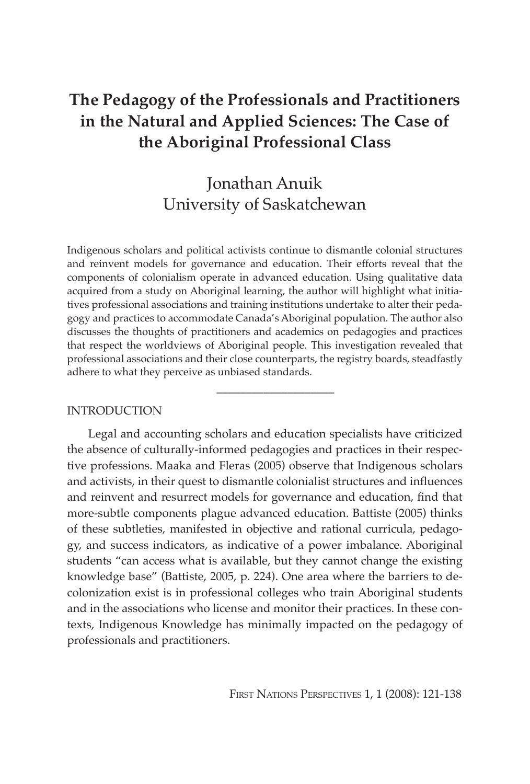# **The Pedagogy of the Professionals and Practitioners in the Natural and Applied Sciences: The Case of the Aboriginal Professional Class**

# Jonathan Anuik University of Saskatchewan

Indigenous scholars and political activists continue to dismantle colonial structures and reinvent models for governance and education. Their efforts reveal that the components of colonialism operate in advanced education. Using qualitative data acquired from a study on Aboriginal learning, the author will highlight what initiatives professional associations and training institutions undertake to alter their pedagogy and practices to accommodate Canada's Aboriginal population. The author also discusses the thoughts of practitioners and academics on pedagogies and practices that respect the worldviews of Aboriginal people. This investigation revealed that professional associations and their close counterparts, the registry boards, steadfastly adhere to what they perceive as unbiased standards.

\_\_\_\_\_\_\_\_\_\_\_\_\_\_\_\_\_\_\_\_

## **INTRODUCTION**

Legal and accounting scholars and education specialists have criticized the absence of culturally-informed pedagogies and practices in their respective professions. Maaka and Fleras (2005) observe that Indigenous scholars and activists, in their quest to dismantle colonialist structures and influences and reinvent and resurrect models for governance and education, find that more-subtle components plague advanced education. Battiste (2005) thinks of these subtleties, manifested in objective and rational curricula, pedagogy, and success indicators, as indicative of a power imbalance. Aboriginal students "can access what is available, but they cannot change the existing knowledge base" (Battiste, 2005, p. 224). One area where the barriers to decolonization exist is in professional colleges who train Aboriginal students and in the associations who license and monitor their practices. In these contexts, Indigenous Knowledge has minimally impacted on the pedagogy of professionals and practitioners.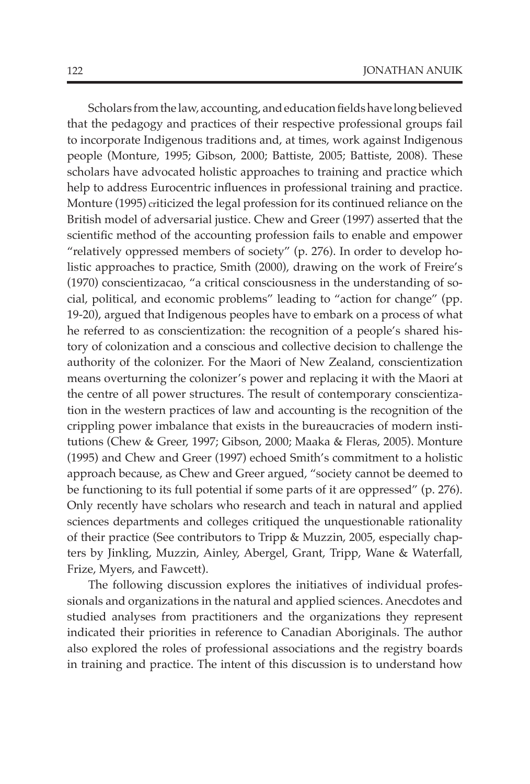Scholars from the law, accounting, and education fields have long believed that the pedagogy and practices of their respective professional groups fail to incorporate Indigenous traditions and, at times, work against Indigenous people (Monture, 1995; Gibson, 2000; Battiste, 2005; Battiste, 2008). These scholars have advocated holistic approaches to training and practice which help to address Eurocentric influences in professional training and practice. Monture (1995) criticized the legal profession for its continued reliance on the British model of adversarial justice. Chew and Greer (1997) asserted that the scientific method of the accounting profession fails to enable and empower "relatively oppressed members of society" (p. 276). In order to develop holistic approaches to practice, Smith (2000), drawing on the work of Freire's (1970) conscientizacao, "a critical consciousness in the understanding of social, political, and economic problems" leading to "action for change" (pp. 19-20), argued that Indigenous peoples have to embark on a process of what he referred to as conscientization: the recognition of a people's shared history of colonization and a conscious and collective decision to challenge the authority of the colonizer. For the Maori of New Zealand, conscientization means overturning the colonizer's power and replacing it with the Maori at the centre of all power structures. The result of contemporary conscientization in the western practices of law and accounting is the recognition of the crippling power imbalance that exists in the bureaucracies of modern institutions (Chew & Greer, 1997; Gibson, 2000; Maaka & Fleras, 2005). Monture (1995) and Chew and Greer (1997) echoed Smith's commitment to a holistic approach because, as Chew and Greer argued, "society cannot be deemed to be functioning to its full potential if some parts of it are oppressed" (p. 276). Only recently have scholars who research and teach in natural and applied sciences departments and colleges critiqued the unquestionable rationality of their practice (See contributors to Tripp & Muzzin, 2005, especially chapters by Jinkling, Muzzin, Ainley, Abergel, Grant, Tripp, Wane & Waterfall, Frize, Myers, and Fawcett).

The following discussion explores the initiatives of individual professionals and organizations in the natural and applied sciences. Anecdotes and studied analyses from practitioners and the organizations they represent indicated their priorities in reference to Canadian Aboriginals. The author also explored the roles of professional associations and the registry boards in training and practice. The intent of this discussion is to understand how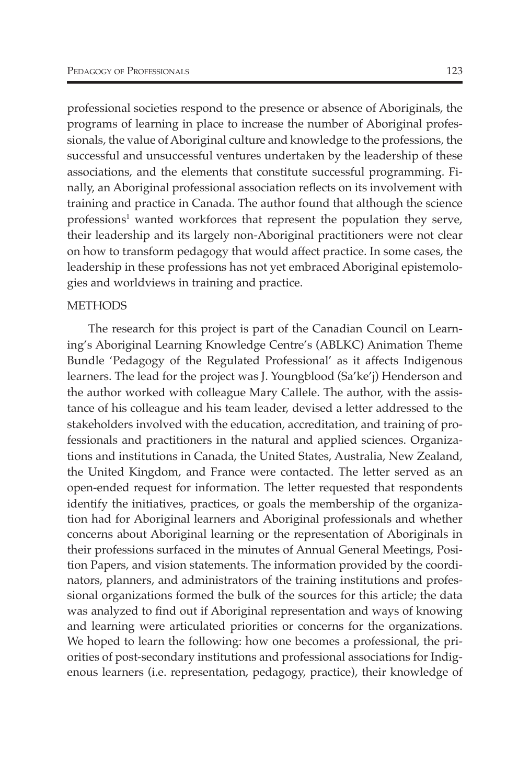professional societies respond to the presence or absence of Aboriginals, the programs of learning in place to increase the number of Aboriginal professionals, the value of Aboriginal culture and knowledge to the professions, the successful and unsuccessful ventures undertaken by the leadership of these associations, and the elements that constitute successful programming. Finally, an Aboriginal professional association reflects on its involvement with training and practice in Canada. The author found that although the science professions<sup>1</sup> wanted workforces that represent the population they serve, their leadership and its largely non-Aboriginal practitioners were not clear on how to transform pedagogy that would affect practice. In some cases, the leadership in these professions has not yet embraced Aboriginal epistemologies and worldviews in training and practice.

### **METHODS**

The research for this project is part of the Canadian Council on Learning's Aboriginal Learning Knowledge Centre's (ABLKC) Animation Theme Bundle 'Pedagogy of the Regulated Professional' as it affects Indigenous learners. The lead for the project was J. Youngblood (Sa'ke'j) Henderson and the author worked with colleague Mary Callele. The author, with the assistance of his colleague and his team leader, devised a letter addressed to the stakeholders involved with the education, accreditation, and training of professionals and practitioners in the natural and applied sciences. Organizations and institutions in Canada, the United States, Australia, New Zealand, the United Kingdom, and France were contacted. The letter served as an open-ended request for information. The letter requested that respondents identify the initiatives, practices, or goals the membership of the organization had for Aboriginal learners and Aboriginal professionals and whether concerns about Aboriginal learning or the representation of Aboriginals in their professions surfaced in the minutes of Annual General Meetings, Position Papers, and vision statements. The information provided by the coordinators, planners, and administrators of the training institutions and professional organizations formed the bulk of the sources for this article; the data was analyzed to find out if Aboriginal representation and ways of knowing and learning were articulated priorities or concerns for the organizations. We hoped to learn the following: how one becomes a professional, the priorities of post-secondary institutions and professional associations for Indigenous learners (i.e. representation, pedagogy, practice), their knowledge of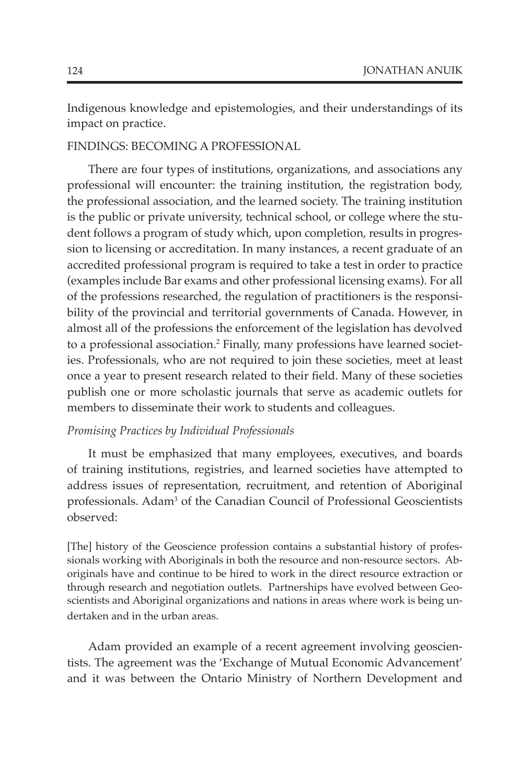Indigenous knowledge and epistemologies, and their understandings of its impact on practice.

## Findings: Becoming a Professional

There are four types of institutions, organizations, and associations any professional will encounter: the training institution, the registration body, the professional association, and the learned society. The training institution is the public or private university, technical school, or college where the student follows a program of study which, upon completion, results in progression to licensing or accreditation. In many instances, a recent graduate of an accredited professional program is required to take a test in order to practice (examples include Bar exams and other professional licensing exams). For all of the professions researched, the regulation of practitioners is the responsibility of the provincial and territorial governments of Canada. However, in almost all of the professions the enforcement of the legislation has devolved to a professional association.2 Finally, many professions have learned societies. Professionals, who are not required to join these societies, meet at least once a year to present research related to their field. Many of these societies publish one or more scholastic journals that serve as academic outlets for members to disseminate their work to students and colleagues.

#### *Promising Practices by Individual Professionals*

It must be emphasized that many employees, executives, and boards of training institutions, registries, and learned societies have attempted to address issues of representation, recruitment, and retention of Aboriginal professionals. Adam<sup>3</sup> of the Canadian Council of Professional Geoscientists observed:

[The] history of the Geoscience profession contains a substantial history of professionals working with Aboriginals in both the resource and non-resource sectors. Aboriginals have and continue to be hired to work in the direct resource extraction or through research and negotiation outlets. Partnerships have evolved between Geoscientists and Aboriginal organizations and nations in areas where work is being undertaken and in the urban areas.

Adam provided an example of a recent agreement involving geoscientists. The agreement was the 'Exchange of Mutual Economic Advancement' and it was between the Ontario Ministry of Northern Development and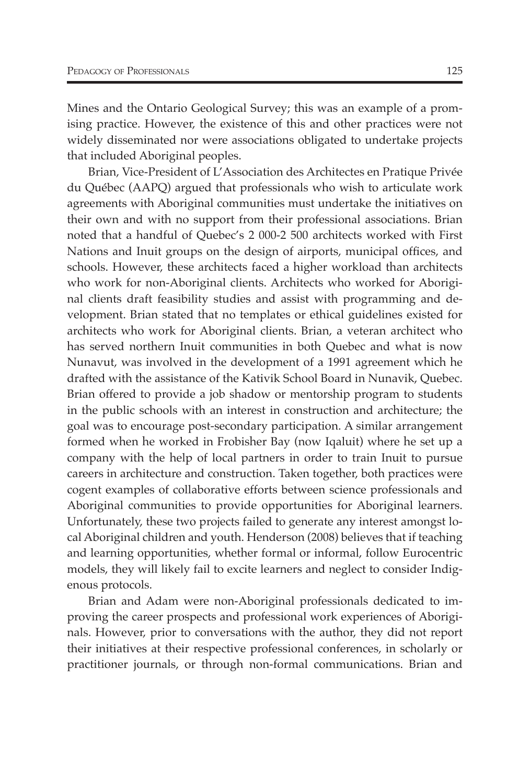Mines and the Ontario Geological Survey; this was an example of a promising practice. However, the existence of this and other practices were not widely disseminated nor were associations obligated to undertake projects that included Aboriginal peoples.

Brian, Vice-President of L'Association des Architectes en Pratique Privée du Québec (AAPQ) argued that professionals who wish to articulate work agreements with Aboriginal communities must undertake the initiatives on their own and with no support from their professional associations. Brian noted that a handful of Quebec's 2 000-2 500 architects worked with First Nations and Inuit groups on the design of airports, municipal offices, and schools. However, these architects faced a higher workload than architects who work for non-Aboriginal clients. Architects who worked for Aboriginal clients draft feasibility studies and assist with programming and development. Brian stated that no templates or ethical guidelines existed for architects who work for Aboriginal clients. Brian, a veteran architect who has served northern Inuit communities in both Quebec and what is now Nunavut, was involved in the development of a 1991 agreement which he drafted with the assistance of the Kativik School Board in Nunavik, Quebec. Brian offered to provide a job shadow or mentorship program to students in the public schools with an interest in construction and architecture; the goal was to encourage post-secondary participation. A similar arrangement formed when he worked in Frobisher Bay (now Iqaluit) where he set up a company with the help of local partners in order to train Inuit to pursue careers in architecture and construction. Taken together, both practices were cogent examples of collaborative efforts between science professionals and Aboriginal communities to provide opportunities for Aboriginal learners. Unfortunately, these two projects failed to generate any interest amongst local Aboriginal children and youth. Henderson (2008) believes that if teaching and learning opportunities, whether formal or informal, follow Eurocentric models, they will likely fail to excite learners and neglect to consider Indigenous protocols.

Brian and Adam were non-Aboriginal professionals dedicated to improving the career prospects and professional work experiences of Aboriginals. However, prior to conversations with the author, they did not report their initiatives at their respective professional conferences, in scholarly or practitioner journals, or through non-formal communications. Brian and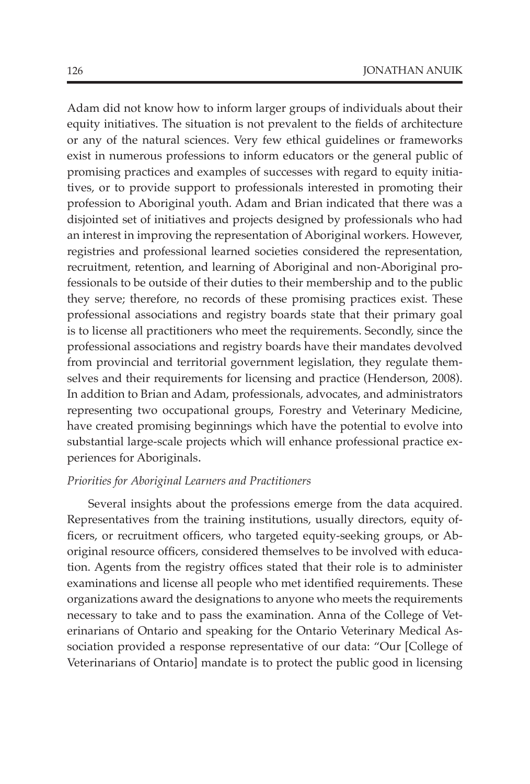Adam did not know how to inform larger groups of individuals about their equity initiatives. The situation is not prevalent to the fields of architecture or any of the natural sciences. Very few ethical guidelines or frameworks exist in numerous professions to inform educators or the general public of promising practices and examples of successes with regard to equity initiatives, or to provide support to professionals interested in promoting their profession to Aboriginal youth. Adam and Brian indicated that there was a disjointed set of initiatives and projects designed by professionals who had an interest in improving the representation of Aboriginal workers. However, registries and professional learned societies considered the representation, recruitment, retention, and learning of Aboriginal and non-Aboriginal professionals to be outside of their duties to their membership and to the public they serve; therefore, no records of these promising practices exist. These professional associations and registry boards state that their primary goal is to license all practitioners who meet the requirements. Secondly, since the professional associations and registry boards have their mandates devolved from provincial and territorial government legislation, they regulate themselves and their requirements for licensing and practice (Henderson, 2008). In addition to Brian and Adam, professionals, advocates, and administrators representing two occupational groups, Forestry and Veterinary Medicine, have created promising beginnings which have the potential to evolve into substantial large-scale projects which will enhance professional practice experiences for Aboriginals.

### *Priorities for Aboriginal Learners and Practitioners*

Several insights about the professions emerge from the data acquired. Representatives from the training institutions, usually directors, equity officers, or recruitment officers, who targeted equity-seeking groups, or Aboriginal resource officers, considered themselves to be involved with education. Agents from the registry offices stated that their role is to administer examinations and license all people who met identified requirements. These organizations award the designations to anyone who meets the requirements necessary to take and to pass the examination. Anna of the College of Veterinarians of Ontario and speaking for the Ontario Veterinary Medical Association provided a response representative of our data: "Our [College of Veterinarians of Ontario] mandate is to protect the public good in licensing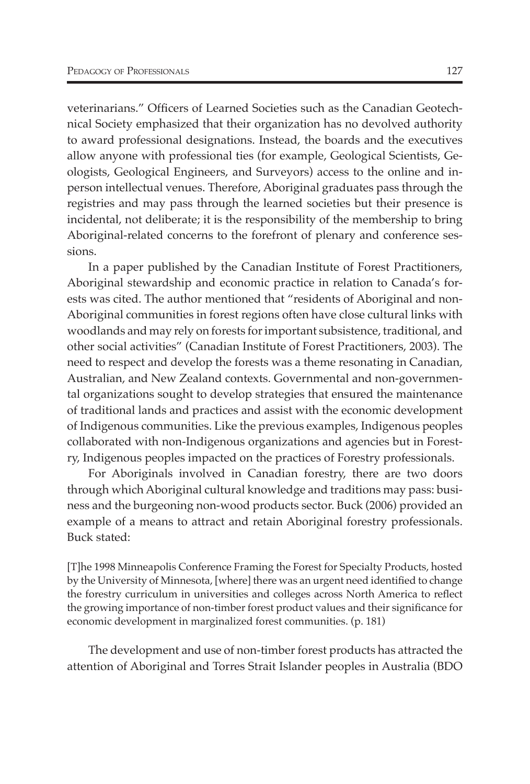veterinarians." Officers of Learned Societies such as the Canadian Geotechnical Society emphasized that their organization has no devolved authority to award professional designations. Instead, the boards and the executives allow anyone with professional ties (for example, Geological Scientists, Geologists, Geological Engineers, and Surveyors) access to the online and inperson intellectual venues. Therefore, Aboriginal graduates pass through the registries and may pass through the learned societies but their presence is incidental, not deliberate; it is the responsibility of the membership to bring Aboriginal-related concerns to the forefront of plenary and conference sessions.

In a paper published by the Canadian Institute of Forest Practitioners, Aboriginal stewardship and economic practice in relation to Canada's forests was cited. The author mentioned that "residents of Aboriginal and non-Aboriginal communities in forest regions often have close cultural links with woodlands and may rely on forests for important subsistence, traditional, and other social activities" (Canadian Institute of Forest Practitioners, 2003). The need to respect and develop the forests was a theme resonating in Canadian, Australian, and New Zealand contexts. Governmental and non-governmental organizations sought to develop strategies that ensured the maintenance of traditional lands and practices and assist with the economic development of Indigenous communities. Like the previous examples, Indigenous peoples collaborated with non-Indigenous organizations and agencies but in Forestry, Indigenous peoples impacted on the practices of Forestry professionals.

For Aboriginals involved in Canadian forestry, there are two doors through which Aboriginal cultural knowledge and traditions may pass: business and the burgeoning non-wood products sector. Buck (2006) provided an example of a means to attract and retain Aboriginal forestry professionals. Buck stated:

[T]he 1998 Minneapolis Conference Framing the Forest for Specialty Products, hosted by the University of Minnesota, [where] there was an urgent need identified to change the forestry curriculum in universities and colleges across North America to reflect the growing importance of non-timber forest product values and their significance for economic development in marginalized forest communities. (p. 181)

The development and use of non-timber forest products has attracted the attention of Aboriginal and Torres Strait Islander peoples in Australia (BDO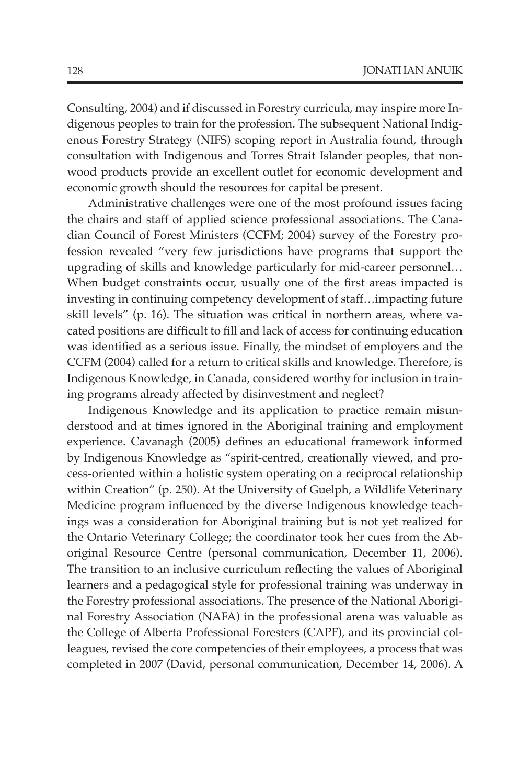Consulting, 2004) and if discussed in Forestry curricula, may inspire more Indigenous peoples to train for the profession. The subsequent National Indigenous Forestry Strategy (NIFS) scoping report in Australia found, through consultation with Indigenous and Torres Strait Islander peoples, that nonwood products provide an excellent outlet for economic development and economic growth should the resources for capital be present.

Administrative challenges were one of the most profound issues facing the chairs and staff of applied science professional associations. The Canadian Council of Forest Ministers (CCFM; 2004) survey of the Forestry profession revealed "very few jurisdictions have programs that support the upgrading of skills and knowledge particularly for mid-career personnel… When budget constraints occur, usually one of the first areas impacted is investing in continuing competency development of staff…impacting future skill levels" (p. 16). The situation was critical in northern areas, where vacated positions are difficult to fill and lack of access for continuing education was identified as a serious issue. Finally, the mindset of employers and the CCFM (2004) called for a return to critical skills and knowledge. Therefore, is Indigenous Knowledge, in Canada, considered worthy for inclusion in training programs already affected by disinvestment and neglect?

Indigenous Knowledge and its application to practice remain misunderstood and at times ignored in the Aboriginal training and employment experience. Cavanagh (2005) defines an educational framework informed by Indigenous Knowledge as "spirit-centred, creationally viewed, and process-oriented within a holistic system operating on a reciprocal relationship within Creation" (p. 250). At the University of Guelph, a Wildlife Veterinary Medicine program influenced by the diverse Indigenous knowledge teachings was a consideration for Aboriginal training but is not yet realized for the Ontario Veterinary College; the coordinator took her cues from the Aboriginal Resource Centre (personal communication, December 11, 2006). The transition to an inclusive curriculum reflecting the values of Aboriginal learners and a pedagogical style for professional training was underway in the Forestry professional associations. The presence of the National Aboriginal Forestry Association (NAFA) in the professional arena was valuable as the College of Alberta Professional Foresters (CAPF), and its provincial colleagues, revised the core competencies of their employees, a process that was completed in 2007 (David, personal communication, December 14, 2006). A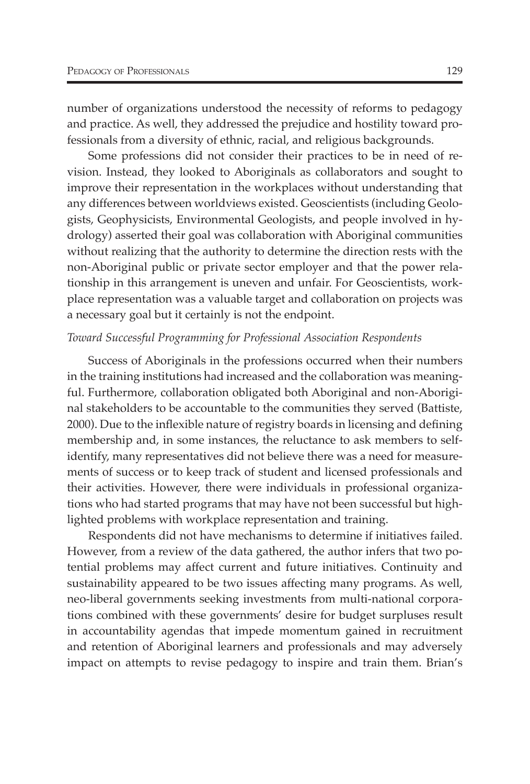number of organizations understood the necessity of reforms to pedagogy and practice. As well, they addressed the prejudice and hostility toward professionals from a diversity of ethnic, racial, and religious backgrounds.

Some professions did not consider their practices to be in need of revision. Instead, they looked to Aboriginals as collaborators and sought to improve their representation in the workplaces without understanding that any differences between worldviews existed. Geoscientists (including Geologists, Geophysicists, Environmental Geologists, and people involved in hydrology) asserted their goal was collaboration with Aboriginal communities without realizing that the authority to determine the direction rests with the non-Aboriginal public or private sector employer and that the power relationship in this arrangement is uneven and unfair. For Geoscientists, workplace representation was a valuable target and collaboration on projects was a necessary goal but it certainly is not the endpoint.

#### *Toward Successful Programming for Professional Association Respondents*

Success of Aboriginals in the professions occurred when their numbers in the training institutions had increased and the collaboration was meaningful. Furthermore, collaboration obligated both Aboriginal and non-Aboriginal stakeholders to be accountable to the communities they served (Battiste, 2000). Due to the inflexible nature of registry boards in licensing and defining membership and, in some instances, the reluctance to ask members to selfidentify, many representatives did not believe there was a need for measurements of success or to keep track of student and licensed professionals and their activities. However, there were individuals in professional organizations who had started programs that may have not been successful but highlighted problems with workplace representation and training.

Respondents did not have mechanisms to determine if initiatives failed. However, from a review of the data gathered, the author infers that two potential problems may affect current and future initiatives. Continuity and sustainability appeared to be two issues affecting many programs. As well, neo-liberal governments seeking investments from multi-national corporations combined with these governments' desire for budget surpluses result in accountability agendas that impede momentum gained in recruitment and retention of Aboriginal learners and professionals and may adversely impact on attempts to revise pedagogy to inspire and train them. Brian's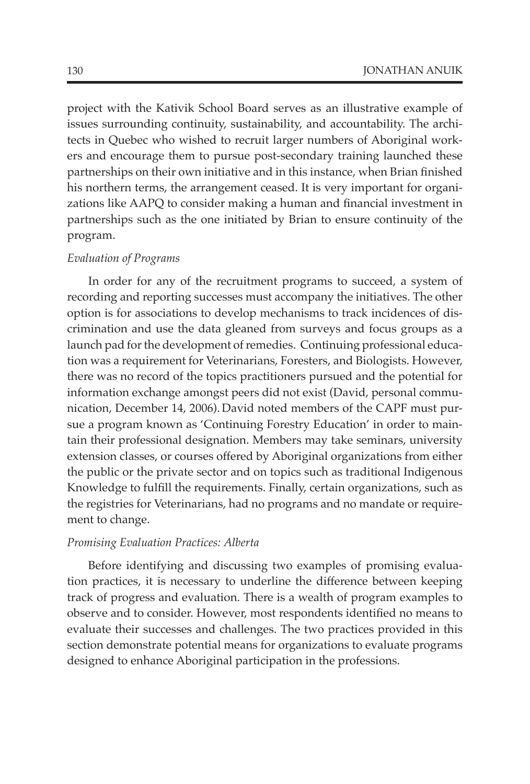project with the Kativik School Board serves as an illustrative example of issues surrounding continuity, sustainability, and accountability. The architects in Quebec who wished to recruit larger numbers of Aboriginal workers and encourage them to pursue post-secondary training launched these partnerships on their own initiative and in this instance, when Brian finished his northern terms, the arrangement ceased. It is very important for organizations like AAPQ to consider making a human and financial investment in partnerships such as the one initiated by Brian to ensure continuity of the program.

## *Evaluation of Programs*

In order for any of the recruitment programs to succeed, a system of recording and reporting successes must accompany the initiatives. The other option is for associations to develop mechanisms to track incidences of discrimination and use the data gleaned from surveys and focus groups as a launch pad for the development of remedies. Continuing professional education was a requirement for Veterinarians, Foresters, and Biologists. However, there was no record of the topics practitioners pursued and the potential for information exchange amongst peers did not exist (David, personal communication, December 14, 2006). David noted members of the CAPF must pursue a program known as 'Continuing Forestry Education' in order to maintain their professional designation. Members may take seminars, university extension classes, or courses offered by Aboriginal organizations from either the public or the private sector and on topics such as traditional Indigenous Knowledge to fulfill the requirements. Finally, certain organizations, such as the registries for Veterinarians, had no programs and no mandate or requirement to change.

#### *Promising Evaluation Practices: Alberta*

Before identifying and discussing two examples of promising evaluation practices, it is necessary to underline the difference between keeping track of progress and evaluation. There is a wealth of program examples to observe and to consider. However, most respondents identified no means to evaluate their successes and challenges. The two practices provided in this section demonstrate potential means for organizations to evaluate programs designed to enhance Aboriginal participation in the professions.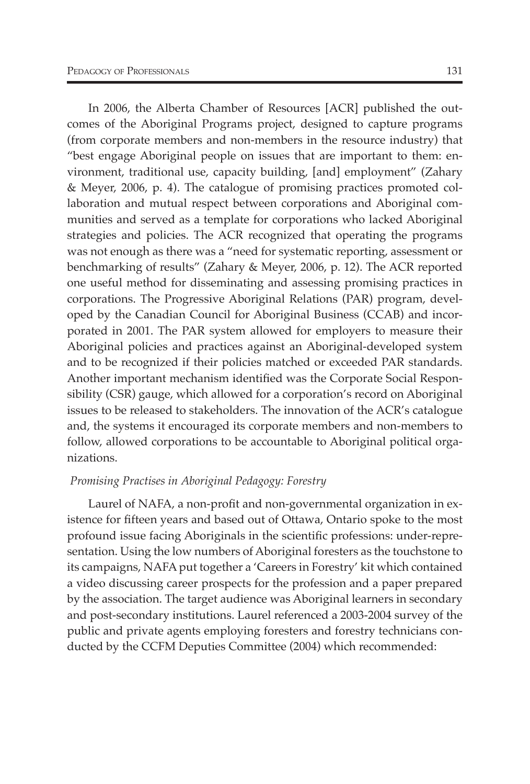In 2006, the Alberta Chamber of Resources [ACR] published the outcomes of the Aboriginal Programs project, designed to capture programs (from corporate members and non-members in the resource industry) that "best engage Aboriginal people on issues that are important to them: environment, traditional use, capacity building, [and] employment" (Zahary & Meyer, 2006, p. 4). The catalogue of promising practices promoted collaboration and mutual respect between corporations and Aboriginal communities and served as a template for corporations who lacked Aboriginal strategies and policies. The ACR recognized that operating the programs was not enough as there was a "need for systematic reporting, assessment or benchmarking of results" (Zahary & Meyer, 2006, p. 12). The ACR reported one useful method for disseminating and assessing promising practices in corporations. The Progressive Aboriginal Relations (PAR) program, developed by the Canadian Council for Aboriginal Business (CCAB) and incorporated in 2001. The PAR system allowed for employers to measure their Aboriginal policies and practices against an Aboriginal-developed system and to be recognized if their policies matched or exceeded PAR standards. Another important mechanism identified was the Corporate Social Responsibility (CSR) gauge, which allowed for a corporation's record on Aboriginal issues to be released to stakeholders. The innovation of the ACR's catalogue and, the systems it encouraged its corporate members and non-members to follow, allowed corporations to be accountable to Aboriginal political organizations.

## *Promising Practises in Aboriginal Pedagogy: Forestry*

Laurel of NAFA, a non-profit and non-governmental organization in existence for fifteen years and based out of Ottawa, Ontario spoke to the most profound issue facing Aboriginals in the scientific professions: under-representation. Using the low numbers of Aboriginal foresters as the touchstone to its campaigns, NAFA put together a 'Careers in Forestry' kit which contained a video discussing career prospects for the profession and a paper prepared by the association. The target audience was Aboriginal learners in secondary and post-secondary institutions. Laurel referenced a 2003-2004 survey of the public and private agents employing foresters and forestry technicians conducted by the CCFM Deputies Committee (2004) which recommended: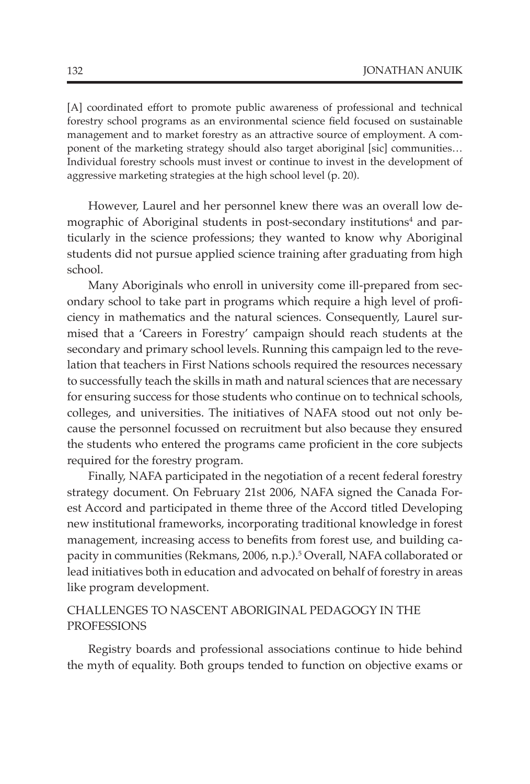[A] coordinated effort to promote public awareness of professional and technical forestry school programs as an environmental science field focused on sustainable management and to market forestry as an attractive source of employment. A component of the marketing strategy should also target aboriginal [sic] communities… Individual forestry schools must invest or continue to invest in the development of aggressive marketing strategies at the high school level (p. 20).

However, Laurel and her personnel knew there was an overall low demographic of Aboriginal students in post-secondary institutions<sup>4</sup> and particularly in the science professions; they wanted to know why Aboriginal students did not pursue applied science training after graduating from high school.

Many Aboriginals who enroll in university come ill-prepared from secondary school to take part in programs which require a high level of proficiency in mathematics and the natural sciences. Consequently, Laurel surmised that a 'Careers in Forestry' campaign should reach students at the secondary and primary school levels. Running this campaign led to the revelation that teachers in First Nations schools required the resources necessary to successfully teach the skills in math and natural sciences that are necessary for ensuring success for those students who continue on to technical schools, colleges, and universities. The initiatives of NAFA stood out not only because the personnel focussed on recruitment but also because they ensured the students who entered the programs came proficient in the core subjects required for the forestry program.

Finally, NAFA participated in the negotiation of a recent federal forestry strategy document. On February 21st 2006, NAFA signed the Canada Forest Accord and participated in theme three of the Accord titled Developing new institutional frameworks, incorporating traditional knowledge in forest management, increasing access to benefits from forest use, and building capacity in communities (Rekmans, 2006, n.p.).5 Overall, NAFA collaborated or lead initiatives both in education and advocated on behalf of forestry in areas like program development.

## Challenges to Nascent Aboriginal Pedagogy in the **PROFESSIONS**

Registry boards and professional associations continue to hide behind the myth of equality. Both groups tended to function on objective exams or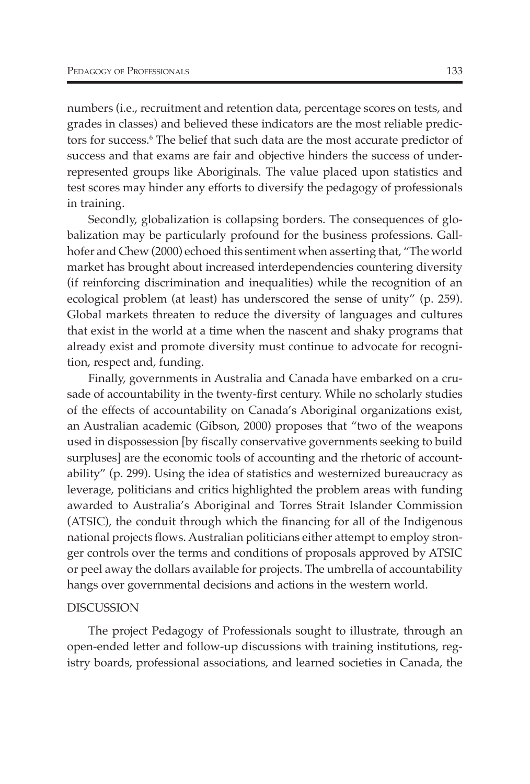numbers (i.e., recruitment and retention data, percentage scores on tests, and grades in classes) and believed these indicators are the most reliable predictors for success.<sup>6</sup> The belief that such data are the most accurate predictor of success and that exams are fair and objective hinders the success of underrepresented groups like Aboriginals. The value placed upon statistics and test scores may hinder any efforts to diversify the pedagogy of professionals in training.

Secondly, globalization is collapsing borders. The consequences of globalization may be particularly profound for the business professions. Gallhofer and Chew (2000) echoed this sentiment when asserting that, "The world market has brought about increased interdependencies countering diversity (if reinforcing discrimination and inequalities) while the recognition of an ecological problem (at least) has underscored the sense of unity" (p. 259). Global markets threaten to reduce the diversity of languages and cultures that exist in the world at a time when the nascent and shaky programs that already exist and promote diversity must continue to advocate for recognition, respect and, funding.

Finally, governments in Australia and Canada have embarked on a crusade of accountability in the twenty-first century. While no scholarly studies of the effects of accountability on Canada's Aboriginal organizations exist, an Australian academic (Gibson, 2000) proposes that "two of the weapons used in dispossession [by fiscally conservative governments seeking to build surpluses] are the economic tools of accounting and the rhetoric of accountability" (p. 299). Using the idea of statistics and westernized bureaucracy as leverage, politicians and critics highlighted the problem areas with funding awarded to Australia's Aboriginal and Torres Strait Islander Commission (ATSIC), the conduit through which the financing for all of the Indigenous national projects flows. Australian politicians either attempt to employ stronger controls over the terms and conditions of proposals approved by ATSIC or peel away the dollars available for projects. The umbrella of accountability hangs over governmental decisions and actions in the western world.

#### Discussion

The project Pedagogy of Professionals sought to illustrate, through an open-ended letter and follow-up discussions with training institutions, registry boards, professional associations, and learned societies in Canada, the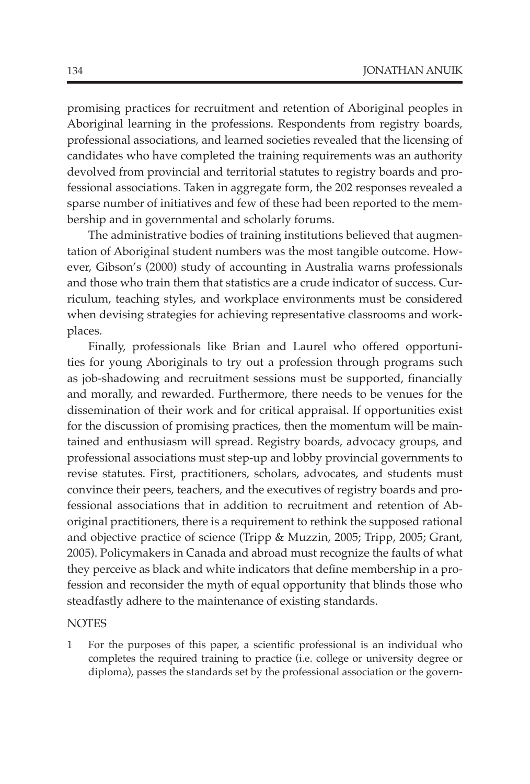promising practices for recruitment and retention of Aboriginal peoples in Aboriginal learning in the professions. Respondents from registry boards, professional associations, and learned societies revealed that the licensing of candidates who have completed the training requirements was an authority devolved from provincial and territorial statutes to registry boards and professional associations. Taken in aggregate form, the 202 responses revealed a sparse number of initiatives and few of these had been reported to the membership and in governmental and scholarly forums.

The administrative bodies of training institutions believed that augmentation of Aboriginal student numbers was the most tangible outcome. However, Gibson's (2000) study of accounting in Australia warns professionals and those who train them that statistics are a crude indicator of success. Curriculum, teaching styles, and workplace environments must be considered when devising strategies for achieving representative classrooms and workplaces.

Finally, professionals like Brian and Laurel who offered opportunities for young Aboriginals to try out a profession through programs such as job-shadowing and recruitment sessions must be supported, financially and morally, and rewarded. Furthermore, there needs to be venues for the dissemination of their work and for critical appraisal. If opportunities exist for the discussion of promising practices, then the momentum will be maintained and enthusiasm will spread. Registry boards, advocacy groups, and professional associations must step-up and lobby provincial governments to revise statutes. First, practitioners, scholars, advocates, and students must convince their peers, teachers, and the executives of registry boards and professional associations that in addition to recruitment and retention of Aboriginal practitioners, there is a requirement to rethink the supposed rational and objective practice of science (Tripp & Muzzin, 2005; Tripp, 2005; Grant, 2005). Policymakers in Canada and abroad must recognize the faults of what they perceive as black and white indicators that define membership in a profession and reconsider the myth of equal opportunity that blinds those who steadfastly adhere to the maintenance of existing standards.

### **NOTES**

1 For the purposes of this paper, a scientific professional is an individual who completes the required training to practice (i.e. college or university degree or diploma), passes the standards set by the professional association or the govern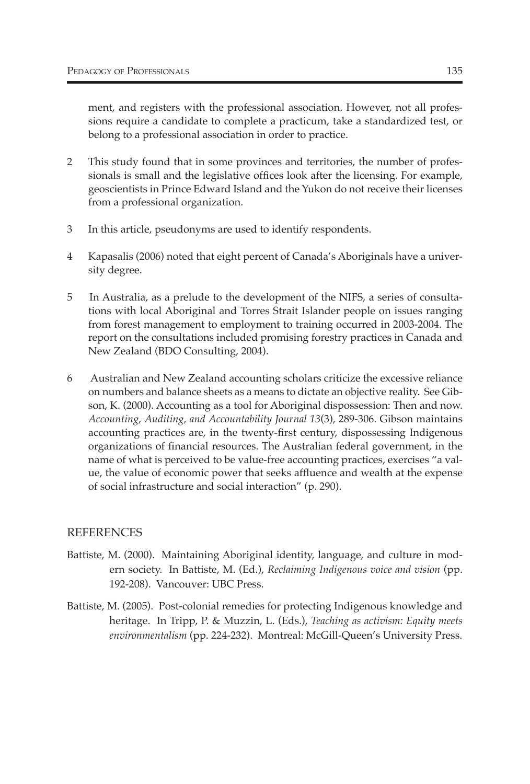ment, and registers with the professional association. However, not all professions require a candidate to complete a practicum, take a standardized test, or belong to a professional association in order to practice.

- 2 This study found that in some provinces and territories, the number of professionals is small and the legislative offices look after the licensing. For example, geoscientists in Prince Edward Island and the Yukon do not receive their licenses from a professional organization.
- 3 In this article, pseudonyms are used to identify respondents.
- 4 Kapasalis (2006) noted that eight percent of Canada's Aboriginals have a university degree.
- 5 In Australia, as a prelude to the development of the NIFS, a series of consultations with local Aboriginal and Torres Strait Islander people on issues ranging from forest management to employment to training occurred in 2003-2004. The report on the consultations included promising forestry practices in Canada and New Zealand (BDO Consulting, 2004).
- 6 Australian and New Zealand accounting scholars criticize the excessive reliance on numbers and balance sheets as a means to dictate an objective reality. See Gibson, K. (2000). Accounting as a tool for Aboriginal dispossession: Then and now. *Accounting, Auditing, and Accountability Journal 13*(3), 289-306. Gibson maintains accounting practices are, in the twenty-first century, dispossessing Indigenous organizations of financial resources. The Australian federal government, in the name of what is perceived to be value-free accounting practices, exercises "a value, the value of economic power that seeks affluence and wealth at the expense of social infrastructure and social interaction" (p. 290).

## **REFERENCES**

- Battiste, M. (2000). Maintaining Aboriginal identity, language, and culture in modern society. In Battiste, M. (Ed.), *Reclaiming Indigenous voice and vision* (pp. 192-208). Vancouver: UBC Press.
- Battiste, M. (2005). Post-colonial remedies for protecting Indigenous knowledge and heritage. In Tripp, P. & Muzzin, L. (Eds.), *Teaching as activism: Equity meets environmentalism* (pp. 224-232). Montreal: McGill-Queen's University Press.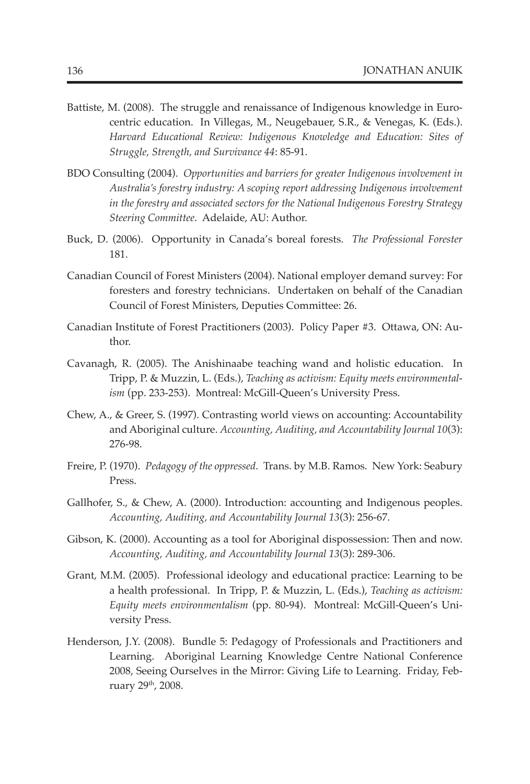- Battiste, M. (2008). The struggle and renaissance of Indigenous knowledge in Eurocentric education. In Villegas, M., Neugebauer, S.R., & Venegas, K. (Eds.). *Harvard Educational Review: Indigenous Knowledge and Education: Sites of Struggle, Strength, and Survivance 44*: 85-91.
- BDO Consulting (2004). *Opportunities and barriers for greater Indigenous involvement in Australia's forestry industry: A scoping report addressing Indigenous involvement in the forestry and associated sectors for the National Indigenous Forestry Strategy Steering Committee*. Adelaide, AU: Author.
- Buck, D. (2006). Opportunity in Canada's boreal forests. *The Professional Forester* 181.
- Canadian Council of Forest Ministers (2004). National employer demand survey: For foresters and forestry technicians. Undertaken on behalf of the Canadian Council of Forest Ministers, Deputies Committee: 26.
- Canadian Institute of Forest Practitioners (2003). Policy Paper #3. Ottawa, ON: Author.
- Cavanagh, R. (2005). The Anishinaabe teaching wand and holistic education. In Tripp, P. & Muzzin, L. (Eds.), *Teaching as activism: Equity meets environmentalism* (pp. 233-253). Montreal: McGill-Queen's University Press.
- Chew, A., & Greer, S. (1997). Contrasting world views on accounting: Accountability and Aboriginal culture. *Accounting, Auditing, and Accountability Journal 10*(3): 276-98.
- Freire, P. (1970). *Pedagogy of the oppressed*. Trans. by M.B. Ramos. New York: Seabury Press.
- Gallhofer, S., & Chew, A. (2000). Introduction: accounting and Indigenous peoples. *Accounting, Auditing, and Accountability Journal 13*(3): 256-67.
- Gibson, K. (2000). Accounting as a tool for Aboriginal dispossession: Then and now. *Accounting, Auditing, and Accountability Journal 13*(3): 289-306.
- Grant, M.M. (2005). Professional ideology and educational practice: Learning to be a health professional. In Tripp, P. & Muzzin, L. (Eds.), *Teaching as activism: Equity meets environmentalism* (pp. 80-94). Montreal: McGill-Queen's University Press.
- Henderson, J.Y. (2008). Bundle 5: Pedagogy of Professionals and Practitioners and Learning. Aboriginal Learning Knowledge Centre National Conference 2008, Seeing Ourselves in the Mirror: Giving Life to Learning. Friday, February 29th, 2008.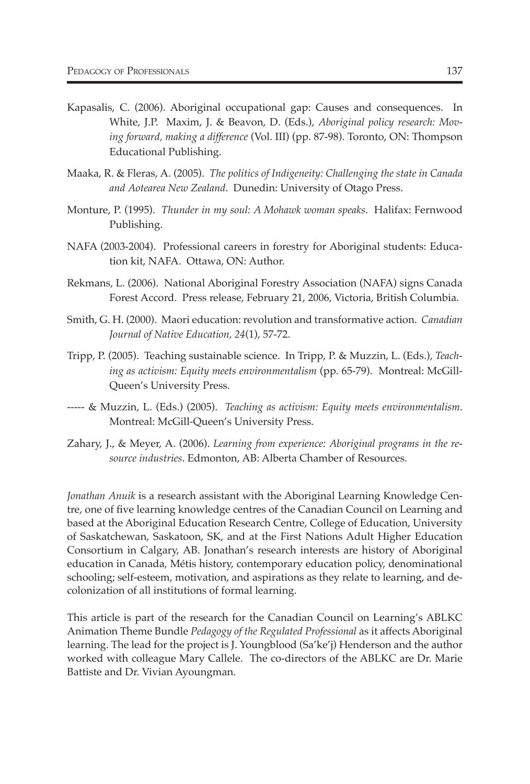- Kapasalis, C. (2006). Aboriginal occupational gap: Causes and consequences. In White, J.P. Maxim, J. & Beavon, D. (Eds.), *Aboriginal policy research: Moving forward, making a difference* (Vol. III) (pp. 87-98). Toronto, ON: Thompson Educational Publishing.
- Maaka, R. & Fleras, A. (2005). *The politics of Indigeneity: Challenging the state in Canada and Aotearea New Zealand*. Dunedin: University of Otago Press.
- Monture, P. (1995). *Thunder in my soul: A Mohawk woman speaks*. Halifax: Fernwood Publishing.
- NAFA (2003-2004). Professional careers in forestry for Aboriginal students: Education kit, NAFA. Ottawa, ON: Author.
- Rekmans, L. (2006). National Aboriginal Forestry Association (NAFA) signs Canada Forest Accord. Press release, February 21, 2006, Victoria, British Columbia.
- Smith, G. H. (2000). Maori education: revolution and transformative action. *Canadian Journal of Native Education, 24*(1), 57-72.
- Tripp, P. (2005). Teaching sustainable science. In Tripp, P. & Muzzin, L. (Eds.), *Teaching as activism: Equity meets environmentalism* (pp. 65-79). Montreal: McGill-Queen's University Press.
- ----- & Muzzin, L. (Eds.) (2005). *Teaching as activism: Equity meets environmentalism*. Montreal: McGill-Queen's University Press.
- Zahary, J., & Meyer, A. (2006). *Learning from experience: Aboriginal programs in the resource industries*. Edmonton, AB: Alberta Chamber of Resources.

*Jonathan Anuik* is a research assistant with the Aboriginal Learning Knowledge Centre, one of five learning knowledge centres of the Canadian Council on Learning and based at the Aboriginal Education Research Centre, College of Education, University of Saskatchewan, Saskatoon, SK, and at the First Nations Adult Higher Education Consortium in Calgary, AB. Jonathan's research interests are history of Aboriginal education in Canada, Métis history, contemporary education policy, denominational schooling; self-esteem, motivation, and aspirations as they relate to learning, and decolonization of all institutions of formal learning.

This article is part of the research for the Canadian Council on Learning's ABLKC Animation Theme Bundle *Pedagogy of the Regulated Professional* as it affects Aboriginal learning. The lead for the project is J. Youngblood (Sa'ke'j) Henderson and the author worked with colleague Mary Callele. The co-directors of the ABLKC are Dr. Marie Battiste and Dr. Vivian Ayoungman.